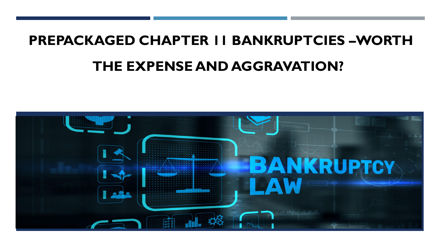# **PREPACKAGED CHAPTER 11 BANKRUPTCIES –WORTH THE EXPENSE AND AGGRAVATION??**

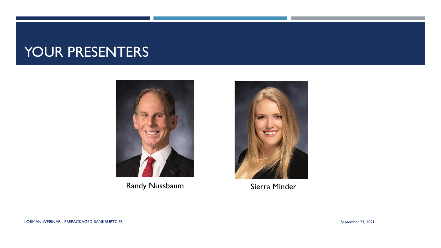#### YOUR PRESENTERS



Randy Nussbaum Sierra Minder

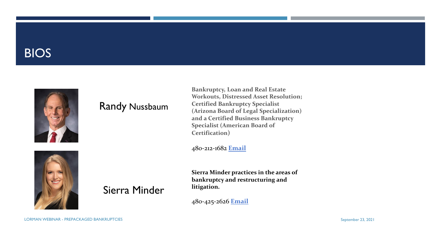#### BIOS



#### Randy Nussbaum

Sierra Minder

**Bankruptcy, Loan and Real Estate Workouts, Distressed Asset Resolution; Certified Bankruptcy Specialist (Arizona Board of Legal Specialization) and a Certified Business Bankruptcy Specialist (American Board of Certification)**

480-212-1682 **[Email](mailto:Nussbaum@SacksTierney.com)**

**Sierra Minder practices in the areas of bankruptcy and restructuring and litigation.**

480-425-2626 **[Email](mailto:minder@sackstierney.com)**



LORMAN WEBINAR - PREPACKAGED BANKRUPTCIES September 23, 2021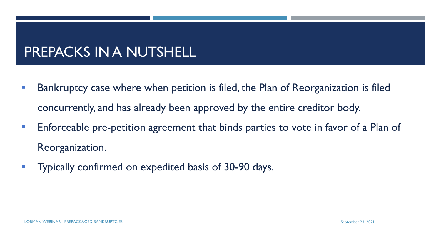#### PREPACKS IN A NUTSHELL

- Bankruptcy case where when petition is filed, the Plan of Reorganization is filed concurrently, and has already been approved by the entire creditor body.
- **Enforceable pre-petition agreement that binds parties to vote in favor of a Plan of** Reorganization.
- **Typically confirmed on expedited basis of 30-90 days.**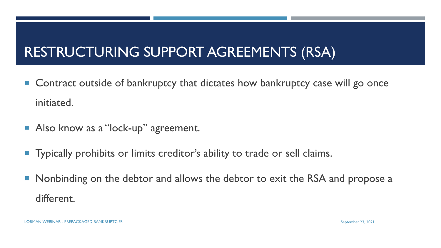## RESTRUCTURING SUPPORT AGREEMENTS (RSA)

- Contract outside of bankruptcy that dictates how bankruptcy case will go once initiated.
- Also know as a "lock-up" agreement.
- **Typically prohibits or limits creditor's ability to trade or sell claims.**
- **Nonbinding on the debtor and allows the debtor to exit the RSA and propose a** different.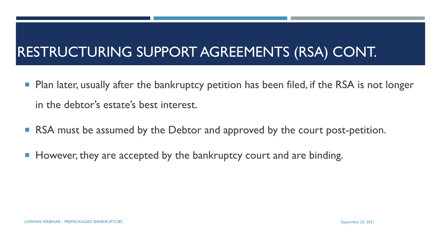### RESTRUCTURING SUPPORT AGREEMENTS (RSA) CONT.

- **Plan later, usually after the bankruptcy petition has been filed, if the RSA is not longer** in the debtor's estate's best interest.
- RSA must be assumed by the Debtor and approved by the court post-petition.
- However, they are accepted by the bankruptcy court and are binding.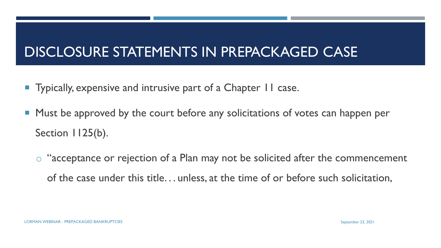#### DISCLOSURE STATEMENTS IN PREPACKAGED CASE

- Typically, expensive and intrusive part of a Chapter II case.
- **Must be approved by the court before any solicitations of votes can happen per** Section 1125(b).
	- o "acceptance or rejection of a Plan may not be solicited after the commencement of the case under this title. . . unless, at the time of or before such solicitation,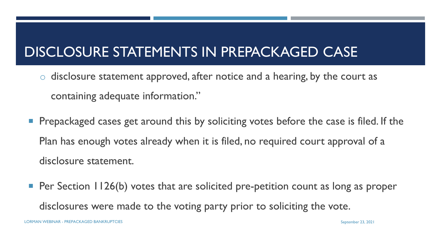### DISCLOSURE STATEMENTS IN PREPACKAGED CASE

- o disclosure statement approved, after notice and a hearing, by the court as containing adequate information."
- **Prepackaged cases get around this by soliciting votes before the case is filed. If the** Plan has enough votes already when it is filed, no required court approval of a disclosure statement.
- Per Section 1126(b) votes that are solicited pre-petition count as long as proper disclosures were made to the voting party prior to soliciting the vote.

LORMAN WEBINAR - PREPACKAGED BANKRUPTCIES September 23, 2021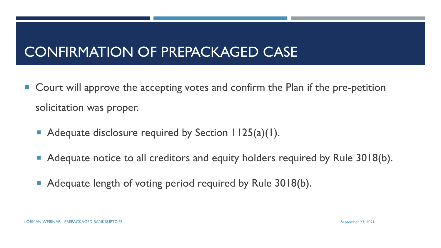#### CONFIRMATION OF PREPACKAGED CASE

- Court will approve the accepting votes and confirm the Plan if the pre-petition solicitation was proper.
	- Adequate disclosure required by Section 1125(a)(1).
	- Adequate notice to all creditors and equity holders required by Rule 3018(b).
	- Adequate length of voting period required by Rule 3018(b).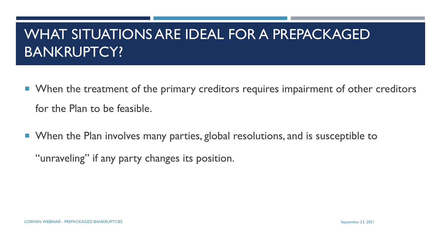#### WHAT SITUATIONS ARE IDEAL FOR A PREPACKAGED BANKRUPTCY?

- **Nota** When the treatment of the primary creditors requires impairment of other creditors for the Plan to be feasible.
- **Notal 19 Exercity Mean index 10 Feanu in Analysis 1** Figures 1 Figures 1 Figures 1 Figures 1 Figures 1 Figures 1 Figures 1 Figures 1 Figures 1 Figures 1 Figures 1 Figures 1 Figures 1 Figures 1 Figures 1 Figures 1 Figures

"unraveling" if any party changes its position.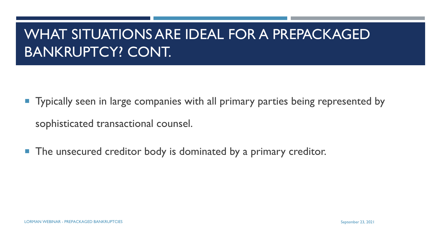### WHAT SITUATIONS ARE IDEAL FOR A PREPACKAGED BANKRUPTCY? CONT.

- **Typically seen in large companies with all primary parties being represented by** sophisticated transactional counsel.
- **The unsecured creditor body is dominated by a primary creditor.**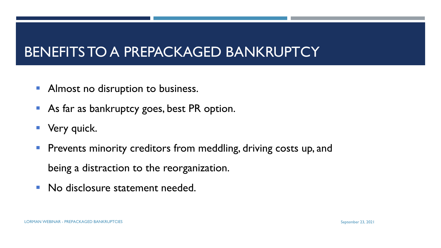#### BENEFITS TO A PREPACKAGED BANKRUPTCY

- **E** Almost no disruption to business.
- As far as bankruptcy goes, best PR option.
- **E** Very quick.
- **Prevents minority creditors from meddling, driving costs up, and** being a distraction to the reorganization.
- No disclosure statement needed.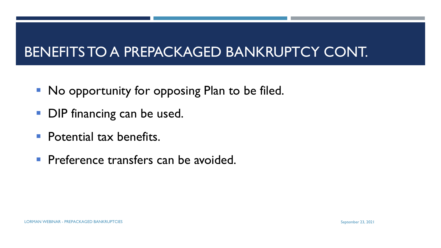#### BENEFITS TO A PREPACKAGED BANKRUPTCY CONT.

- No opportunity for opposing Plan to be filed.
- **DIP financing can be used.**
- **Potential tax benefits.**
- **Preference transfers can be avoided.**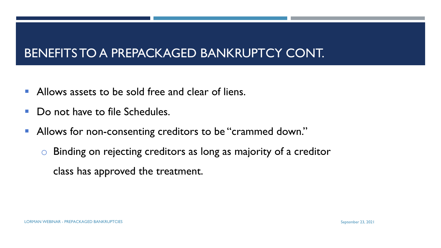#### BENEFITS TO A PREPACKAGED BANKRUPTCY CONT.

- **E** Allows assets to be sold free and clear of liens.
- Do not have to file Schedules.
- Allows for non-consenting creditors to be "crammed down."
	- o Binding on rejecting creditors as long as majority of a creditor class has approved the treatment.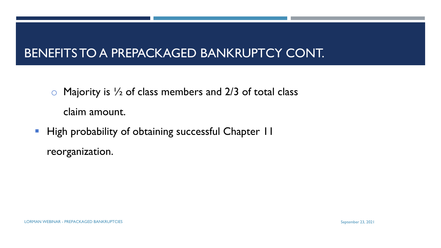#### BENEFITS TO A PREPACKAGED BANKRUPTCY CONT.

- $\circ$  Majority is  $\frac{1}{2}$  of class members and 2/3 of total class claim amount.
- **· High probability of obtaining successful Chapter 11** reorganization.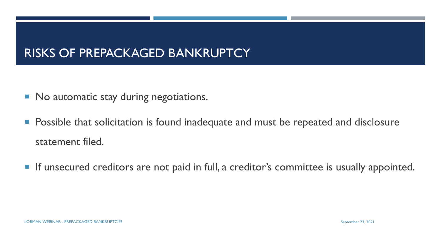#### RISKS OF PREPACKAGED BANKRUPTCY

- No automatic stay during negotiations.
- **Possible that solicitation is found inadequate and must be repeated and disclosure** statement filed.
- **If unsecured creditors are not paid in full, a creditor's committee is usually appointed.**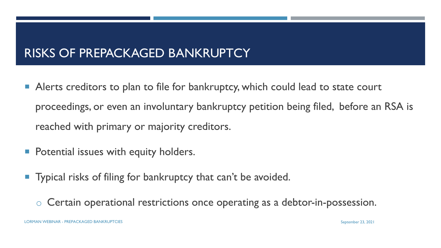#### RISKS OF PREPACKAGED BANKRUPTCY

- Alerts creditors to plan to file for bankruptcy, which could lead to state court proceedings, or even an involuntary bankruptcy petition being filed, before an RSA is reached with primary or majority creditors.
- **Potential issues with equity holders.**
- **Typical risks of filing for bankruptcy that can't be avoided.** 
	- o Certain operational restrictions once operating as a debtor-in-possession.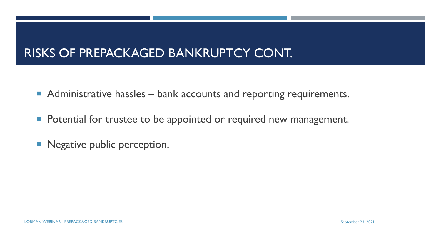#### RISKS OF PREPACKAGED BANKRUPTCY CONT.

- Administrative hassles bank accounts and reporting requirements.
- **Potential for trustee to be appointed or required new management.**
- Negative public perception.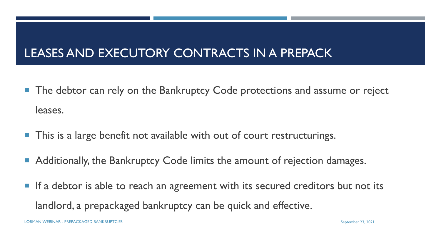#### LEASES AND EXECUTORY CONTRACTS IN A PREPACK

- **The debtor can rely on the Bankruptcy Code protections and assume or reject** leases.
- **This is a large benefit not available with out of court restructurings.**
- Additionally, the Bankruptcy Code limits the amount of rejection damages.
- **If a debtor is able to reach an agreement with its secured creditors but not its** landlord, a prepackaged bankruptcy can be quick and effective.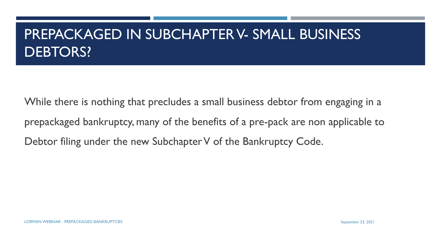#### PREPACKAGED IN SUBCHAPTER V- SMALL BUSINESS DEBTORS?

While there is nothing that precludes a small business debtor from engaging in a prepackaged bankruptcy, many of the benefits of a pre-pack are non applicable to Debtor filing under the new Subchapter V of the Bankruptcy Code.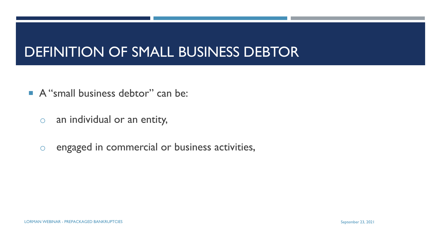#### DEFINITION OF SMALL BUSINESS DEBTOR

- A "small business debtor" can be:
	- o an individual or an entity,
	- o engaged in commercial or business activities,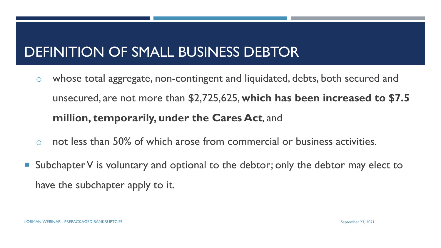#### DEFINITION OF SMALL BUSINESS DEBTOR

- o whose total aggregate, non-contingent and liquidated, debts, both secured and unsecured, are not more than \$2,725,625, **which has been increased to \$7.5 million, temporarily, under the Cares Act**, and
- o not less than 50% of which arose from commercial or business activities.
- Subchapter V is voluntary and optional to the debtor; only the debtor may elect to have the subchapter apply to it.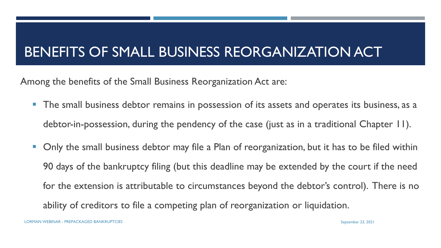### BENEFITS OF SMALL BUSINESS REORGANIZATION ACT

Among the benefits of the Small Business Reorganization Act are:

- **The small business debtor remains in possession of its assets and operates its business, as a** debtor-in-possession, during the pendency of the case (just as in a traditional Chapter 11).
- Only the small business debtor may file a Plan of reorganization, but it has to be filed within 90 days of the bankruptcy filing (but this deadline may be extended by the court if the need for the extension is attributable to circumstances beyond the debtor's control). There is no ability of creditors to file a competing plan of reorganization or liquidation.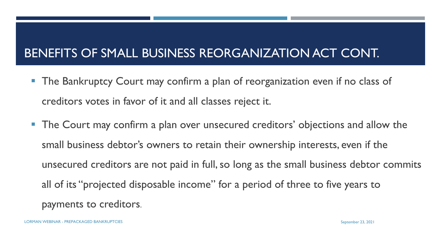#### BENEFITS OF SMALL BUSINESS REORGANIZATION ACT CONT.

- The Bankruptcy Court may confirm a plan of reorganization even if no class of creditors votes in favor of it and all classes reject it.
- The Court may confirm a plan over unsecured creditors' objections and allow the small business debtor's owners to retain their ownership interests, even if the unsecured creditors are not paid in full, so long as the small business debtor commits all of its "projected disposable income" for a period of three to five years to payments to creditors.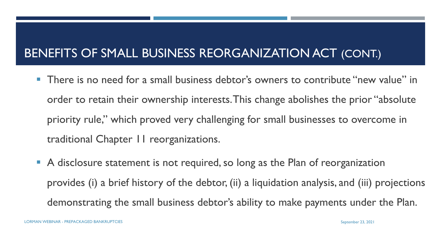#### BENEFITS OF SMALL BUSINESS REORGANIZATION ACT (CONT.)

- There is no need for a small business debtor's owners to contribute "new value" in order to retain their ownership interests. This change abolishes the prior "absolute priority rule," which proved very challenging for small businesses to overcome in traditional Chapter 11 reorganizations.
- A disclosure statement is not required, so long as the Plan of reorganization provides (i) a brief history of the debtor, (ii) a liquidation analysis, and (iii) projections demonstrating the small business debtor's ability to make payments under the Plan.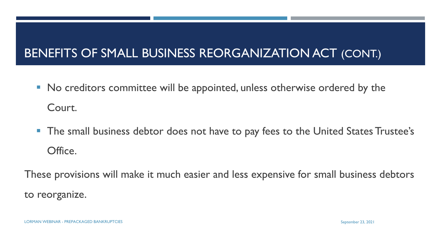#### BENEFITS OF SMALL BUSINESS REORGANIZATION ACT (CONT.)

- No creditors committee will be appointed, unless otherwise ordered by the Court.
- The small business debtor does not have to pay fees to the United States Trustee's Office.

These provisions will make it much easier and less expensive for small business debtors to reorganize.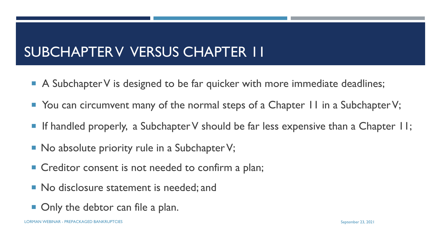### SUBCHAPTER V VERSUS CHAPTER 11

- A Subchapter V is designed to be far quicker with more immediate deadlines;
- You can circumvent many of the normal steps of a Chapter II in a Subchapter V;
- If handled properly, a Subchapter V should be far less expensive than a Chapter II;
- $\blacksquare$  No absolute priority rule in a Subchapter V;
- Creditor consent is not needed to confirm a plan;
- No disclosure statement is needed; and
- **Only the debtor can file a plan.**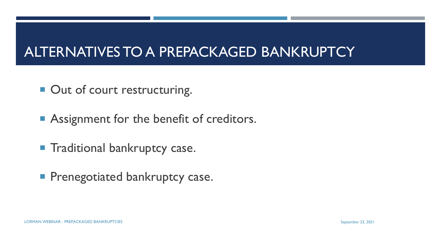#### ALTERNATIVES TO A PREPACKAGED BANKRUPTCY

- Out of court restructuring.
- **Assignment for the benefit of creditors.**
- **Traditional bankruptcy case.**
- **Prenegotiated bankruptcy case.**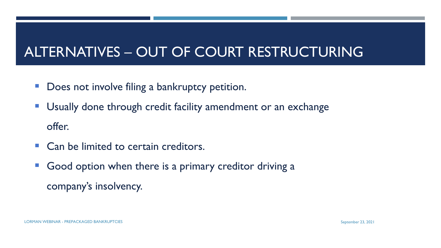#### ALTERNATIVES – OUT OF COURT RESTRUCTURING

- Does not involve filing a bankruptcy petition.
- Usually done through credit facility amendment or an exchange offer.
- Can be limited to certain creditors.
- Good option when there is a primary creditor driving a company's insolvency.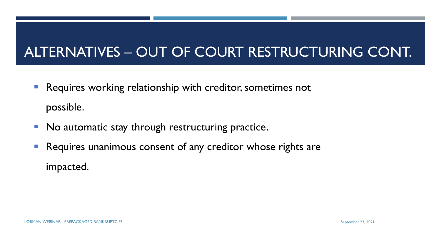### ALTERNATIVES – OUT OF COURT RESTRUCTURING CONT.

- Requires working relationship with creditor, sometimes not possible.
- No automatic stay through restructuring practice.
- Requires unanimous consent of any creditor whose rights are impacted.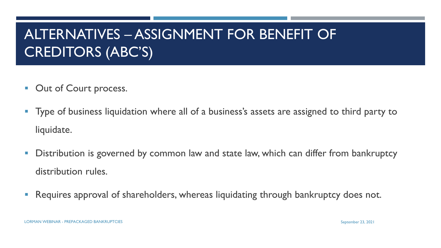### ALTERNATIVES – ASSIGNMENT FOR BENEFIT OF CREDITORS (ABC'S)

- Out of Court process.
- **Type of business liquidation where all of a business's assets are assigned to third party to** liquidate.
- **Distribution is governed by common law and state law, which can differ from bankruptcy** distribution rules.
- **Requires approval of shareholders, whereas liquidating through bankruptcy does not.**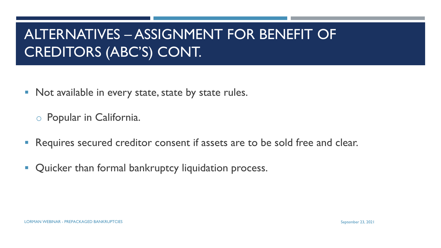### ALTERNATIVES – ASSIGNMENT FOR BENEFIT OF CREDITORS (ABC'S) CONT.

■ Not available in every state, state by state rules.

o Popular in California.

- **Requires secured creditor consent if assets are to be sold free and clear.**
- **Quicker than formal bankruptcy liquidation process.**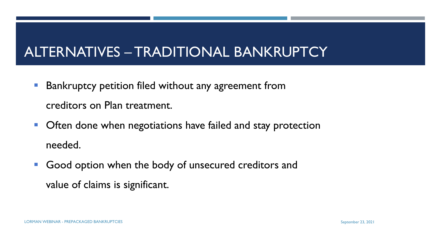#### ALTERNATIVES – TRADITIONAL BANKRUPTCY

- **Bankruptcy petition filed without any agreement from** creditors on Plan treatment.
- **Often done when negotiations have failed and stay protection** needed.
- Good option when the body of unsecured creditors and value of claims is significant.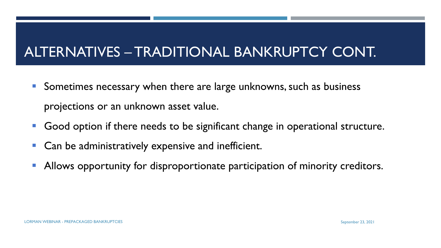#### ALTERNATIVES – TRADITIONAL BANKRUPTCY CONT.

- Sometimes necessary when there are large unknowns, such as business projections or an unknown asset value.
- Good option if there needs to be significant change in operational structure.
- Can be administratively expensive and inefficient.
- **E** Allows opportunity for disproportionate participation of minority creditors.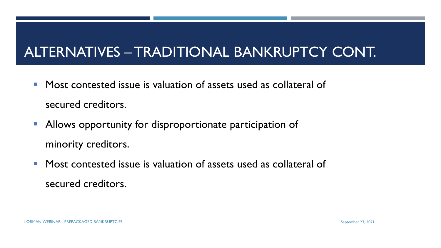#### ALTERNATIVES – TRADITIONAL BANKRUPTCY CONT.

- Most contested issue is valuation of assets used as collateral of secured creditors.
- Allows opportunity for disproportionate participation of minority creditors.
- Most contested issue is valuation of assets used as collateral of secured creditors.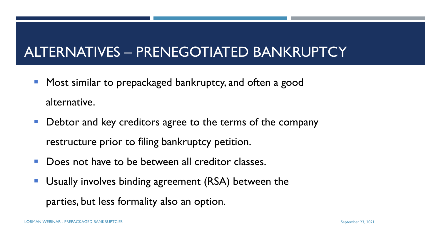### ALTERNATIVES – PRENEGOTIATED BANKRUPTCY

- Most similar to prepackaged bankruptcy, and often a good alternative.
- Debtor and key creditors agree to the terms of the company restructure prior to filing bankruptcy petition.
- Does not have to be between all creditor classes.
- Usually involves binding agreement (RSA) between the parties, but less formality also an option.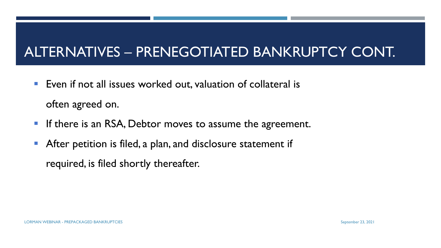### ALTERNATIVES – PRENEGOTIATED BANKRUPTCY CONT.

- Even if not all issues worked out, valuation of collateral is often agreed on.
- **If there is an RSA, Debtor moves to assume the agreement.**
- **EXTER After petition is filed, a plan, and disclosure statement if** required, is filed shortly thereafter.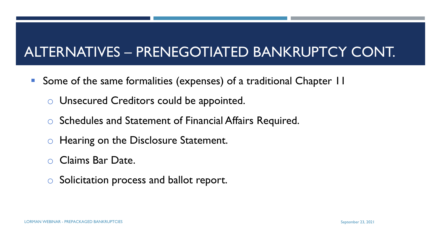### ALTERNATIVES – PRENEGOTIATED BANKRUPTCY CONT.

- Some of the same formalities (expenses) of a traditional Chapter 11
	- o Unsecured Creditors could be appointed.
	- o Schedules and Statement of Financial Affairs Required.
	- o Hearing on the Disclosure Statement.
	- Claims Bar Date.
	- o Solicitation process and ballot report.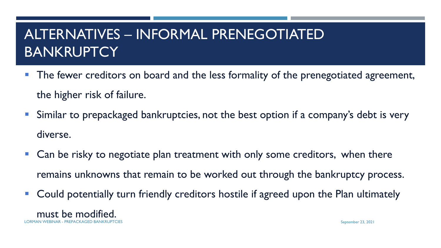### ALTERNATIVES – INFORMAL PRENEGOTIATED **BANKRUPTCY**

- **The fewer creditors on board and the less formality of the prenegotiated agreement,** the higher risk of failure.
- **E** Similar to prepackaged bankruptcies, not the best option if a company's debt is very diverse.
- Can be risky to negotiate plan treatment with only some creditors, when there remains unknowns that remain to be worked out through the bankruptcy process.
- Could potentially turn friendly creditors hostile if agreed upon the Plan ultimately

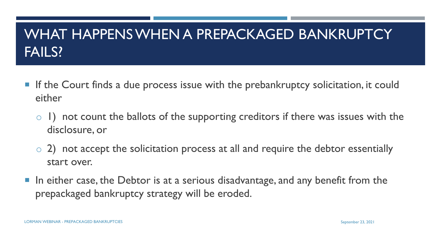### WHAT HAPPENS WHEN A PREPACKAGED BANKRUPTCY FAILS?

- **If the Court finds a due process issue with the prebankruptcy solicitation, it could** either
	- o 1) not count the ballots of the supporting creditors if there was issues with the disclosure, or
	- $\circ$  2) not accept the solicitation process at all and require the debtor essentially start over.
- $\blacksquare$  In either case, the Debtor is at a serious disadvantage, and any benefit from the prepackaged bankruptcy strategy will be eroded.